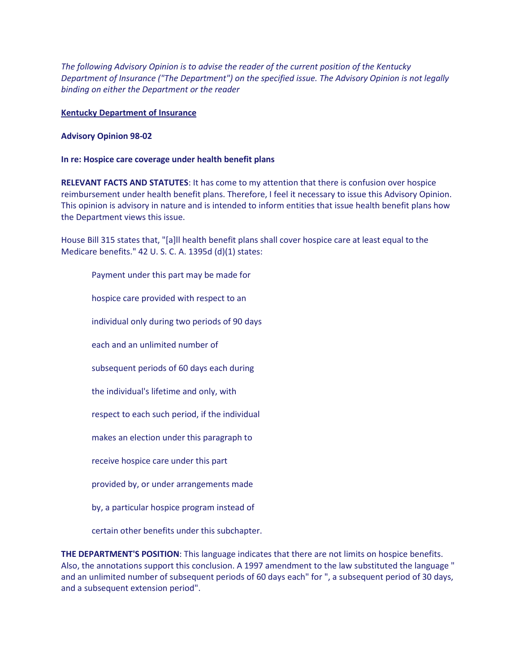*The following Advisory Opinion is to advise the reader of the current position of the Kentucky Department of Insurance ("The Department") on the specified issue. The Advisory Opinion is not legally binding on either the Department or the reader*

## **Kentucky Department of Insurance**

## **Advisory Opinion 98-02**

## **In re: Hospice care coverage under health benefit plans**

**RELEVANT FACTS AND STATUTES**: It has come to my attention that there is confusion over hospice reimbursement under health benefit plans. Therefore, I feel it necessary to issue this Advisory Opinion. This opinion is advisory in nature and is intended to inform entities that issue health benefit plans how the Department views this issue.

House Bill 315 states that, "[a]ll health benefit plans shall cover hospice care at least equal to the Medicare benefits." 42 U. S. C. A. 1395d (d)(1) states:

Payment under this part may be made for hospice care provided with respect to an individual only during two periods of 90 days each and an unlimited number of subsequent periods of 60 days each during the individual's lifetime and only, with respect to each such period, if the individual makes an election under this paragraph to receive hospice care under this part provided by, or under arrangements made by, a particular hospice program instead of

certain other benefits under this subchapter.

**THE DEPARTMENT'S POSITION**: This language indicates that there are not limits on hospice benefits. Also, the annotations support this conclusion. A 1997 amendment to the law substituted the language " and an unlimited number of subsequent periods of 60 days each" for ", a subsequent period of 30 days, and a subsequent extension period".